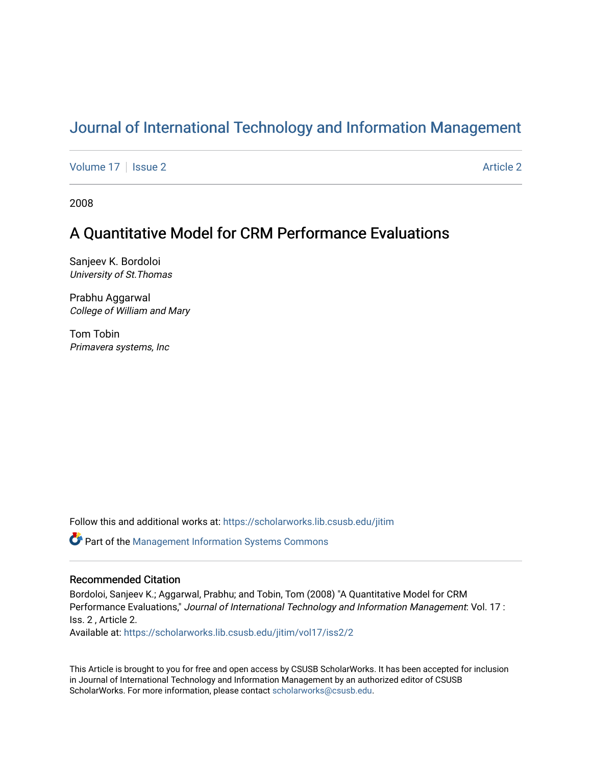# [Journal of International Technology and Information Management](https://scholarworks.lib.csusb.edu/jitim)

[Volume 17](https://scholarworks.lib.csusb.edu/jitim/vol17) | [Issue 2](https://scholarworks.lib.csusb.edu/jitim/vol17/iss2) Article 2

2008

# A Quantitative Model for CRM Performance Evaluations

Sanjeev K. Bordoloi University of St.Thomas

Prabhu Aggarwal College of William and Mary

Tom Tobin Primavera systems, Inc

Follow this and additional works at: [https://scholarworks.lib.csusb.edu/jitim](https://scholarworks.lib.csusb.edu/jitim?utm_source=scholarworks.lib.csusb.edu%2Fjitim%2Fvol17%2Fiss2%2F2&utm_medium=PDF&utm_campaign=PDFCoverPages) 

Part of the [Management Information Systems Commons](http://network.bepress.com/hgg/discipline/636?utm_source=scholarworks.lib.csusb.edu%2Fjitim%2Fvol17%2Fiss2%2F2&utm_medium=PDF&utm_campaign=PDFCoverPages) 

### Recommended Citation

Bordoloi, Sanjeev K.; Aggarwal, Prabhu; and Tobin, Tom (2008) "A Quantitative Model for CRM Performance Evaluations," Journal of International Technology and Information Management: Vol. 17 : Iss. 2 , Article 2.

Available at: [https://scholarworks.lib.csusb.edu/jitim/vol17/iss2/2](https://scholarworks.lib.csusb.edu/jitim/vol17/iss2/2?utm_source=scholarworks.lib.csusb.edu%2Fjitim%2Fvol17%2Fiss2%2F2&utm_medium=PDF&utm_campaign=PDFCoverPages) 

This Article is brought to you for free and open access by CSUSB ScholarWorks. It has been accepted for inclusion in Journal of International Technology and Information Management by an authorized editor of CSUSB ScholarWorks. For more information, please contact [scholarworks@csusb.edu.](mailto:scholarworks@csusb.edu)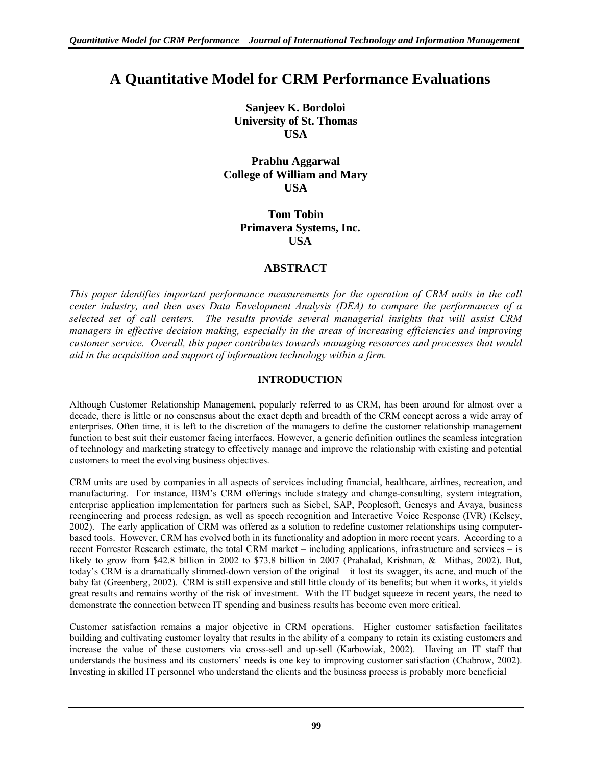# **A Quantitative Model for CRM Performance Evaluations**

**Sanjeev K. Bordoloi University of St. Thomas USA** 

**Prabhu Aggarwal College of William and Mary USA** 

> **Tom Tobin Primavera Systems, Inc. USA**

# **ABSTRACT**

*This paper identifies important performance measurements for the operation of CRM units in the call center industry, and then uses Data Envelopment Analysis (DEA) to compare the performances of a selected set of call centers. The results provide several managerial insights that will assist CRM managers in effective decision making, especially in the areas of increasing efficiencies and improving customer service. Overall, this paper contributes towards managing resources and processes that would aid in the acquisition and support of information technology within a firm.* 

# **INTRODUCTION**

Although Customer Relationship Management, popularly referred to as CRM, has been around for almost over a decade, there is little or no consensus about the exact depth and breadth of the CRM concept across a wide array of enterprises. Often time, it is left to the discretion of the managers to define the customer relationship management function to best suit their customer facing interfaces. However, a generic definition outlines the seamless integration of technology and marketing strategy to effectively manage and improve the relationship with existing and potential customers to meet the evolving business objectives.

CRM units are used by companies in all aspects of services including financial, healthcare, airlines, recreation, and manufacturing. For instance, IBM's CRM offerings include strategy and change-consulting, system integration, enterprise application implementation for partners such as Siebel, SAP, Peoplesoft, Genesys and Avaya, business reengineering and process redesign, as well as speech recognition and Interactive Voice Response (IVR) (Kelsey, 2002). The early application of CRM was offered as a solution to redefine customer relationships using computerbased tools. However, CRM has evolved both in its functionality and adoption in more recent years. According to a recent Forrester Research estimate, the total CRM market – including applications, infrastructure and services – is likely to grow from \$42.8 billion in 2002 to \$73.8 billion in 2007 (Prahalad, Krishnan, & Mithas, 2002). But, today's CRM is a dramatically slimmed-down version of the original – it lost its swagger, its acne, and much of the baby fat (Greenberg, 2002). CRM is still expensive and still little cloudy of its benefits; but when it works, it yields great results and remains worthy of the risk of investment. With the IT budget squeeze in recent years, the need to demonstrate the connection between IT spending and business results has become even more critical.

Customer satisfaction remains a major objective in CRM operations. Higher customer satisfaction facilitates building and cultivating customer loyalty that results in the ability of a company to retain its existing customers and increase the value of these customers via cross-sell and up-sell (Karbowiak, 2002). Having an IT staff that understands the business and its customers' needs is one key to improving customer satisfaction (Chabrow, 2002). Investing in skilled IT personnel who understand the clients and the business process is probably more beneficial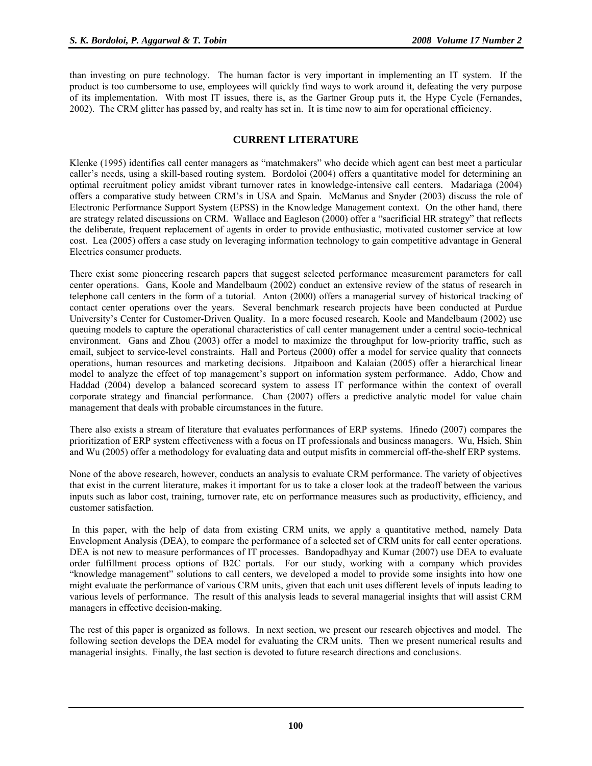than investing on pure technology. The human factor is very important in implementing an IT system. If the product is too cumbersome to use, employees will quickly find ways to work around it, defeating the very purpose of its implementation. With most IT issues, there is, as the Gartner Group puts it, the Hype Cycle (Fernandes, 2002). The CRM glitter has passed by, and realty has set in. It is time now to aim for operational efficiency.

## **CURRENT LITERATURE**

Klenke (1995) identifies call center managers as "matchmakers" who decide which agent can best meet a particular caller's needs, using a skill-based routing system. Bordoloi (2004) offers a quantitative model for determining an optimal recruitment policy amidst vibrant turnover rates in knowledge-intensive call centers. Madariaga (2004) offers a comparative study between CRM's in USA and Spain. McManus and Snyder (2003) discuss the role of Electronic Performance Support System (EPSS) in the Knowledge Management context. On the other hand, there are strategy related discussions on CRM. Wallace and Eagleson (2000) offer a "sacrificial HR strategy" that reflects the deliberate, frequent replacement of agents in order to provide enthusiastic, motivated customer service at low cost. Lea (2005) offers a case study on leveraging information technology to gain competitive advantage in General Electrics consumer products.

There exist some pioneering research papers that suggest selected performance measurement parameters for call center operations. Gans, Koole and Mandelbaum (2002) conduct an extensive review of the status of research in telephone call centers in the form of a tutorial. Anton (2000) offers a managerial survey of historical tracking of contact center operations over the years. Several benchmark research projects have been conducted at Purdue University's Center for Customer-Driven Quality. In a more focused research, Koole and Mandelbaum (2002) use queuing models to capture the operational characteristics of call center management under a central socio-technical environment. Gans and Zhou (2003) offer a model to maximize the throughput for low-priority traffic, such as email, subject to service-level constraints. Hall and Porteus (2000) offer a model for service quality that connects operations, human resources and marketing decisions. Jitpaiboon and Kalaian (2005) offer a hierarchical linear model to analyze the effect of top management's support on information system performance. Addo, Chow and Haddad (2004) develop a balanced scorecard system to assess IT performance within the context of overall corporate strategy and financial performance. Chan (2007) offers a predictive analytic model for value chain management that deals with probable circumstances in the future.

There also exists a stream of literature that evaluates performances of ERP systems. Ifinedo (2007) compares the prioritization of ERP system effectiveness with a focus on IT professionals and business managers. Wu, Hsieh, Shin and Wu (2005) offer a methodology for evaluating data and output misfits in commercial off-the-shelf ERP systems.

None of the above research, however, conducts an analysis to evaluate CRM performance. The variety of objectives that exist in the current literature, makes it important for us to take a closer look at the tradeoff between the various inputs such as labor cost, training, turnover rate, etc on performance measures such as productivity, efficiency, and customer satisfaction.

 In this paper, with the help of data from existing CRM units, we apply a quantitative method, namely Data Envelopment Analysis (DEA), to compare the performance of a selected set of CRM units for call center operations. DEA is not new to measure performances of IT processes. Bandopadhyay and Kumar (2007) use DEA to evaluate order fulfillment process options of B2C portals. For our study, working with a company which provides "knowledge management" solutions to call centers, we developed a model to provide some insights into how one might evaluate the performance of various CRM units, given that each unit uses different levels of inputs leading to various levels of performance. The result of this analysis leads to several managerial insights that will assist CRM managers in effective decision-making.

The rest of this paper is organized as follows. In next section, we present our research objectives and model. The following section develops the DEA model for evaluating the CRM units. Then we present numerical results and managerial insights. Finally, the last section is devoted to future research directions and conclusions.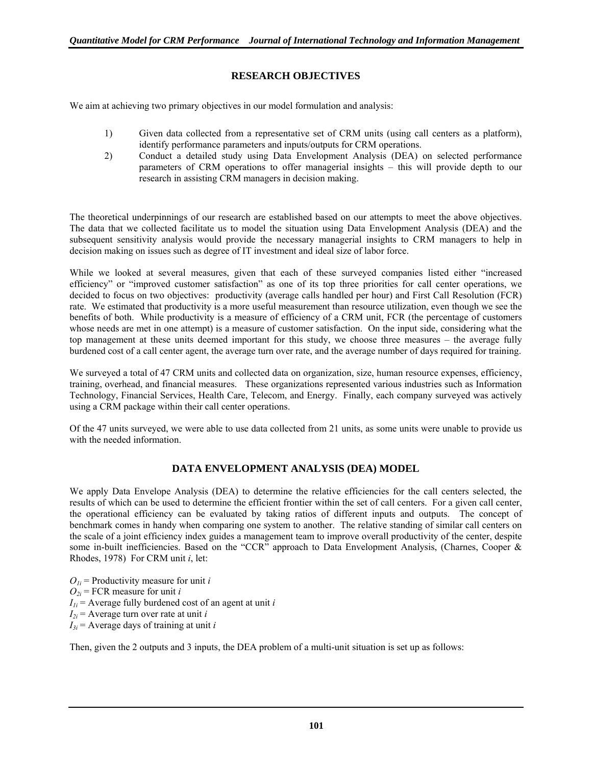# **RESEARCH OBJECTIVES**

We aim at achieving two primary objectives in our model formulation and analysis:

- 1) Given data collected from a representative set of CRM units (using call centers as a platform), identify performance parameters and inputs/outputs for CRM operations.
- 2) Conduct a detailed study using Data Envelopment Analysis (DEA) on selected performance parameters of CRM operations to offer managerial insights – this will provide depth to our research in assisting CRM managers in decision making.

The theoretical underpinnings of our research are established based on our attempts to meet the above objectives. The data that we collected facilitate us to model the situation using Data Envelopment Analysis (DEA) and the subsequent sensitivity analysis would provide the necessary managerial insights to CRM managers to help in decision making on issues such as degree of IT investment and ideal size of labor force.

While we looked at several measures, given that each of these surveyed companies listed either "increased efficiency" or "improved customer satisfaction" as one of its top three priorities for call center operations, we decided to focus on two objectives: productivity (average calls handled per hour) and First Call Resolution (FCR) rate. We estimated that productivity is a more useful measurement than resource utilization, even though we see the benefits of both. While productivity is a measure of efficiency of a CRM unit, FCR (the percentage of customers whose needs are met in one attempt) is a measure of customer satisfaction. On the input side, considering what the top management at these units deemed important for this study, we choose three measures – the average fully burdened cost of a call center agent, the average turn over rate, and the average number of days required for training.

We surveyed a total of 47 CRM units and collected data on organization, size, human resource expenses, efficiency, training, overhead, and financial measures. These organizations represented various industries such as Information Technology, Financial Services, Health Care, Telecom, and Energy. Finally, each company surveyed was actively using a CRM package within their call center operations.

Of the 47 units surveyed, we were able to use data collected from 21 units, as some units were unable to provide us with the needed information.

# **DATA ENVELOPMENT ANALYSIS (DEA) MODEL**

We apply Data Envelope Analysis (DEA) to determine the relative efficiencies for the call centers selected, the results of which can be used to determine the efficient frontier within the set of call centers. For a given call center, the operational efficiency can be evaluated by taking ratios of different inputs and outputs. The concept of benchmark comes in handy when comparing one system to another. The relative standing of similar call centers on the scale of a joint efficiency index guides a management team to improve overall productivity of the center, despite some in-built inefficiencies. Based on the "CCR" approach to Data Envelopment Analysis, (Charnes, Cooper & Rhodes, 1978) For CRM unit *i*, let:

 $O_{ij}$  = Productivity measure for unit *i*  $Q_{2i}$  = FCR measure for unit *i*  $I_{1i}$  = Average fully burdened cost of an agent at unit *i*  $I_{2i}$  = Average turn over rate at unit *i*  $I_{3i}$  = Average days of training at unit *i* 

Then, given the 2 outputs and 3 inputs, the DEA problem of a multi-unit situation is set up as follows: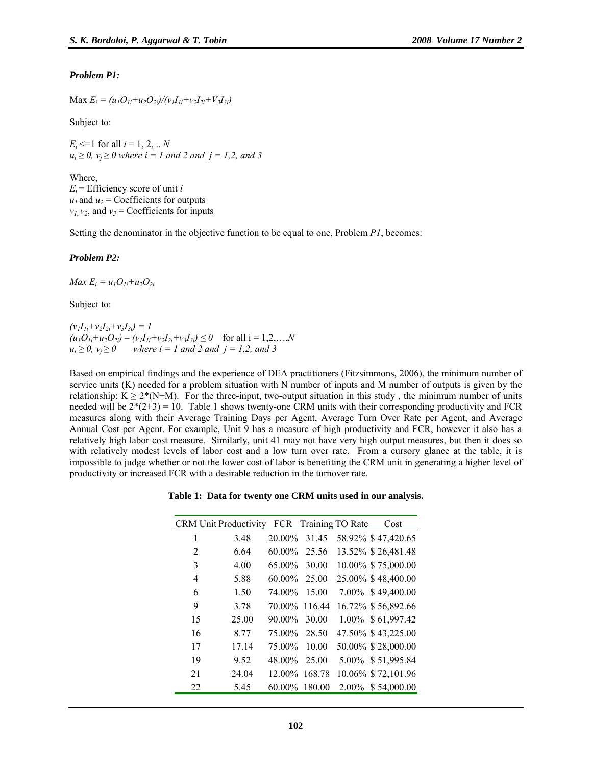#### *Problem P1:*

 $\text{Max } E_i = (u_1 O_{1i} + u_2 O_{2i}) / (v_1 I_{1i} + v_2 I_{2i} + V_3 I_{3i})$ 

Subject to:

 $E_i \leq 1$  for all  $i = 1, 2, ... N$  $u_i \ge 0$ ,  $v_i \ge 0$  where  $i = 1$  and 2 and  $j = 1, 2$ , and 3

Where,  $E_i$  = Efficiency score of unit *i*  $u_1$  and  $u_2$  = Coefficients for outputs  $v_1$ ,  $v_2$ , and  $v_3$  = Coefficients for inputs

Setting the denominator in the objective function to be equal to one, Problem *P1*, becomes:

#### *Problem P2:*

*Max*  $E_i = u_1O_{1i} + u_2O_{2i}$ 

Subject to:

 $(v_1I_{1i}+v_2I_{2i}+v_3I_{3i})=I$  $(u_1O_{1i}+u_2O_{2i}) - (v_1I_{1i}+v_2I_{2i}+v_3I_{3i}) \leq 0$  for all  $i = 1,2,...,N$  $u_i \geq 0$ ,  $v_i \geq 0$  where  $i = 1$  and 2 and  $j = 1, 2$ , and 3

Based on empirical findings and the experience of DEA practitioners (Fitzsimmons, 2006), the minimum number of service units (K) needed for a problem situation with N number of inputs and M number of outputs is given by the relationship:  $K > 2^*(N+M)$ . For the three-input, two-output situation in this study, the minimum number of units needed will be  $2*(2+3) = 10$ . Table 1 shows twenty-one CRM units with their corresponding productivity and FCR measures along with their Average Training Days per Agent, Average Turn Over Rate per Agent, and Average Annual Cost per Agent. For example, Unit 9 has a measure of high productivity and FCR, however it also has a relatively high labor cost measure. Similarly, unit 41 may not have very high output measures, but then it does so with relatively modest levels of labor cost and a low turn over rate. From a cursory glance at the table, it is impossible to judge whether or not the lower cost of labor is benefiting the CRM unit in generating a higher level of productivity or increased FCR with a desirable reduction in the turnover rate.

**Table 1: Data for twenty one CRM units used in our analysis.** 

|                | <b>CRM</b> Unit Productivity | FCR           | Training TO Rate |       | Cost               |
|----------------|------------------------------|---------------|------------------|-------|--------------------|
| 1              | 3.48                         | $20.00\%$     | 31.45            |       | 58.92% \$47,420.65 |
| $\overline{2}$ | 6.64                         | $60.00\%$     | 25.56            |       | 13.52% \$26,481.48 |
| 3              | 4.00                         | 65.00%        | 30.00            |       | 10.00% \$75,000.00 |
| 4              | 5.88                         | $60.00\%$     | 25.00            |       | 25.00% \$48,400.00 |
| 6              | 1.50                         | 74.00%        | 15.00            |       | 7.00% \$49,400.00  |
| 9              | 3.78                         | 70.00% 116.44 |                  |       | 16.72% \$56,892.66 |
| 15             | 25.00                        | 90.00%        | 30.00            |       | 1.00% \$61,997.42  |
| 16             | 8.77                         | 75.00%        | 28.50            |       | 47.50% \$43,225.00 |
| 17             | 17.14                        | 75 00%        | 10.00            |       | 50.00% \$28,000.00 |
| 19             | 9.52                         | 48.00%        | 25.00            |       | 5.00% \$51,995.84  |
| 21             | 24.04                        |               | 12.00% 168.78    |       | 10.06% \$72,101.96 |
| 22             | 5.45                         | 60.00%        | 180.00           | 2.00% | \$54,000.00        |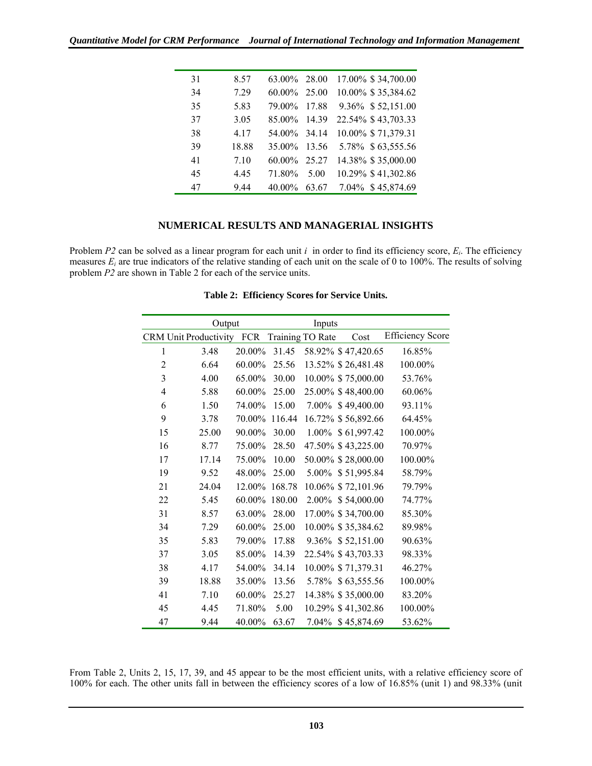*Quantitative Model for CRM Performance Journal of International Technology and Information Management* 

| 31 | 8.57  | 63.00%       | 28.00 | 17.00% \$34,700.00 |
|----|-------|--------------|-------|--------------------|
| 34 | 7.29  | $60.00\%$    | 25.00 | 10.00% \$35,384.62 |
| 35 | 5.83  | 79.00%       | 17.88 | 9.36% \$52,151.00  |
| 37 | 3.05  | 85.00%       | 14 39 | 22.54% \$43,703.33 |
| 38 | 4 1 7 | 54.00% 34.14 |       | 10.00% \$71,379.31 |
| 39 | 18.88 | 35.00%       | 13.56 | 5.78% \$63,555.56  |
| 41 | 7.10  | $60.00\%$    | 25.27 | 14.38% \$35,000.00 |
| 45 | 4.45  | 71.80%       | 5.00  | 10.29% \$41,302.86 |
| 47 | 9.44  | 40.00%       | 63.67 | 7.04% \$45,874.69  |

## **NUMERICAL RESULTS AND MANAGERIAL INSIGHTS**

Problem *P2* can be solved as a linear program for each unit *i* in order to find its efficiency score, *Ei*. The efficiency measures *Ei* are true indicators of the relative standing of each unit on the scale of 0 to 100%. The results of solving problem *P2* are shown in Table 2 for each of the service units.

|                | Output                    |        |                  | Inputs |                    |                         |
|----------------|---------------------------|--------|------------------|--------|--------------------|-------------------------|
|                | CRM Unit Productivity FCR |        | Training TO Rate |        | Cost               | <b>Efficiency Score</b> |
| 1              | 3.48                      | 20.00% | 31.45            |        | 58.92% \$47,420.65 | 16.85%                  |
| $\overline{2}$ | 6.64                      | 60.00% | 25.56            |        | 13.52% \$26,481.48 | 100.00%                 |
| 3              | 4.00                      | 65.00% | 30.00            |        | 10.00% \$75,000.00 | 53.76%                  |
| 4              | 5.88                      | 60.00% | 25.00            |        | 25.00% \$48,400.00 | 60.06%                  |
| 6              | 1.50                      | 74.00% | 15.00            |        | 7.00% \$49,400.00  | 93.11%                  |
| 9              | 3.78                      | 70.00% | 116.44           |        | 16.72% \$56,892.66 | 64.45%                  |
| 15             | 25.00                     | 90.00% | 30.00            |        | 1.00% \$61,997.42  | 100.00%                 |
| 16             | 8.77                      | 75.00% | 28.50            |        | 47.50% \$43,225.00 | 70.97%                  |
| 17             | 17.14                     | 75.00% | 10.00            |        | 50.00% \$28,000.00 | 100.00%                 |
| 19             | 9.52                      | 48.00% | 25.00            |        | 5.00% \$51,995.84  | 58.79%                  |
| 21             | 24.04                     | 12.00% | 168.78           |        | 10.06% \$72,101.96 | 79.79%                  |
| 22             | 5.45                      | 60.00% | 180.00           |        | 2.00% \$54,000.00  | 74.77%                  |
| 31             | 8.57                      | 63.00% | 28.00            |        | 17.00% \$34,700.00 | 85.30%                  |
| 34             | 7.29                      | 60.00% | 25.00            |        | 10.00% \$35,384.62 | 89.98%                  |
| 35             | 5.83                      | 79.00% | 17.88            |        | 9.36% \$52,151.00  | 90.63%                  |
| 37             | 3.05                      | 85.00% | 14.39            |        | 22.54% \$43,703.33 | 98.33%                  |
| 38             | 4.17                      | 54.00% | 34.14            |        | 10.00% \$71,379.31 | 46.27%                  |
| 39             | 18.88                     | 35.00% | 13.56            |        | 5.78% \$63,555.56  | 100.00%                 |
| 41             | 7.10                      | 60.00% | 25.27            |        | 14.38% \$35,000.00 | 83.20%                  |
| 45             | 4.45                      | 71.80% | 5.00             |        | 10.29% \$41,302.86 | 100.00%                 |
| 47             | 9.44                      | 40.00% | 63.67            |        | 7.04% \$45,874.69  | 53.62%                  |

**Table 2: Efficiency Scores for Service Units.** 

From Table 2, Units 2, 15, 17, 39, and 45 appear to be the most efficient units, with a relative efficiency score of 100% for each. The other units fall in between the efficiency scores of a low of 16.85% (unit 1) and 98.33% (unit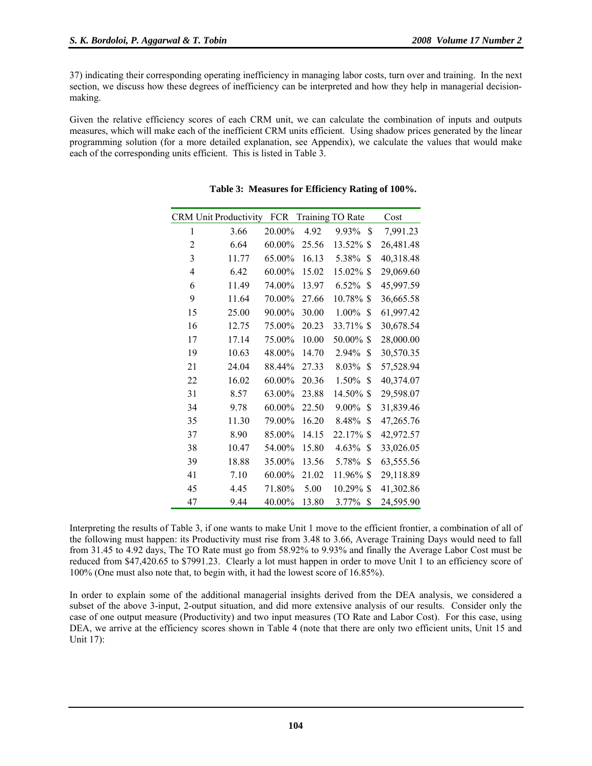37) indicating their corresponding operating inefficiency in managing labor costs, turn over and training. In the next section, we discuss how these degrees of inefficiency can be interpreted and how they help in managerial decisionmaking.

Given the relative efficiency scores of each CRM unit, we can calculate the combination of inputs and outputs measures, which will make each of the inefficient CRM units efficient. Using shadow prices generated by the linear programming solution (for a more detailed explanation, see Appendix), we calculate the values that would make each of the corresponding units efficient. This is listed in Table 3.

|                | <b>CRM Unit Productivity</b> | <b>FCR</b> |       | Training TO Rate | Cost      |
|----------------|------------------------------|------------|-------|------------------|-----------|
| 1              | 3.66                         | 20.00%     | 4.92  | \$<br>9.93%      | 7,991.23  |
| $\overline{2}$ | 6.64                         | $60.00\%$  | 25.56 | 13.52%<br>S      | 26,481.48 |
| 3              | 11.77                        | 65.00%     | 16.13 | \$<br>5.38%      | 40,318.48 |
| $\overline{4}$ | 6.42                         | 60.00%     | 15.02 | 15.02%<br>S      | 29,069.60 |
| 6              | 11.49                        | 74.00%     | 13.97 | 6.52%<br>\$      | 45,997.59 |
| 9              | 11.64                        | 70.00%     | 27.66 | 10.78%<br>S      | 36,665.58 |
| 15             | 25.00                        | 90.00%     | 30.00 | 1.00%<br>\$      | 61,997.42 |
| 16             | 12.75                        | 75.00%     | 20.23 | 33.71% \$        | 30,678.54 |
| 17             | 17.14                        | 75.00%     | 10.00 | 50.00%<br>S      | 28,000.00 |
| 19             | 10.63                        | 48.00%     | 14.70 | 2.94%<br>\$      | 30,570.35 |
| 21             | 24.04                        | 88.44%     | 27.33 | \$<br>8.03%      | 57,528.94 |
| 22             | 16.02                        | 60.00%     | 20.36 | 1.50%<br>\$      | 40,374.07 |
| 31             | 8.57                         | 63.00%     | 23.88 | 14.50%<br>\$     | 29,598.07 |
| 34             | 9.78                         | 60.00%     | 22.50 | 9.00%<br>\$      | 31,839.46 |
| 35             | 11.30                        | 79.00%     | 16.20 | \$<br>8.48%      | 47,265.76 |
| 37             | 8.90                         | 85.00%     | 14.15 | 22.17%<br>S      | 42,972.57 |
| 38             | 10.47                        | 54.00%     | 15.80 | 4.63%<br>\$      | 33,026.05 |
| 39             | 18.88                        | 35.00%     | 13.56 | \$<br>5.78%      | 63,555.56 |
| 41             | 7.10                         | 60.00%     | 21.02 | 11.96%<br>S      | 29,118.89 |
| 45             | 4.45                         | 71.80%     | 5.00  | $10.29\%$ \$     | 41,302.86 |
| 47             | 9.44                         | 40.00%     | 13.80 | 3.77%<br>\$      | 24,595.90 |

## **Table 3: Measures for Efficiency Rating of 100%.**

Interpreting the results of Table 3, if one wants to make Unit 1 move to the efficient frontier, a combination of all of the following must happen: its Productivity must rise from 3.48 to 3.66, Average Training Days would need to fall from 31.45 to 4.92 days, The TO Rate must go from 58.92% to 9.93% and finally the Average Labor Cost must be reduced from \$47,420.65 to \$7991.23. Clearly a lot must happen in order to move Unit 1 to an efficiency score of 100% (One must also note that, to begin with, it had the lowest score of 16.85%).

In order to explain some of the additional managerial insights derived from the DEA analysis, we considered a subset of the above 3-input, 2-output situation, and did more extensive analysis of our results. Consider only the case of one output measure (Productivity) and two input measures (TO Rate and Labor Cost). For this case, using DEA, we arrive at the efficiency scores shown in Table 4 (note that there are only two efficient units, Unit 15 and Unit 17):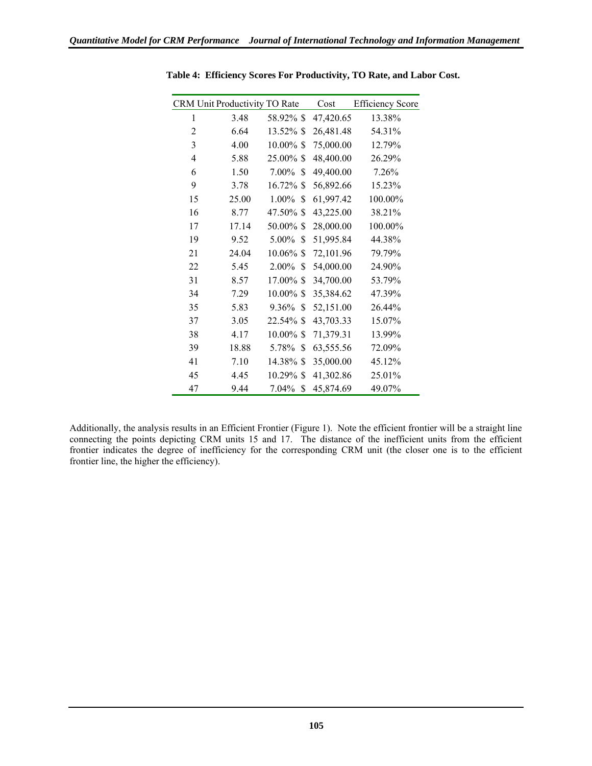|                | CRM Unit Productivity TO Rate |              | Cost      | <b>Efficiency Score</b> |
|----------------|-------------------------------|--------------|-----------|-------------------------|
| 1              | 3.48                          | 58.92% \$    | 47,420.65 | 13.38%                  |
| 2              | 6.64                          | 13.52% \$    | 26,481.48 | 54.31%                  |
| 3              | 4.00                          | 10.00% \$    | 75,000.00 | 12.79%                  |
| $\overline{4}$ | 5.88                          | 25.00% \$    | 48,400.00 | 26.29%                  |
| 6              | 1.50                          | 7.00%<br>S   | 49,400.00 | 7.26%                   |
| 9              | 3.78                          | 16.72%<br>S  | 56,892.66 | 15.23%                  |
| 15             | 25.00                         | 1.00%<br>\$  | 61,997.42 | 100.00%                 |
| 16             | 8.77                          | 47.50% \$    | 43,225.00 | 38.21%                  |
| 17             | 17.14                         | 50.00% \$    | 28,000.00 | 100.00%                 |
| 19             | 9.52                          | 5.00%<br>\$  | 51,995.84 | 44.38%                  |
| 21             | 24.04                         | $10.06\%$ \$ | 72,101.96 | 79.79%                  |
| 22             | 5.45                          | 2.00%<br>\$  | 54,000.00 | 24.90%                  |
| 31             | 8.57                          | 17.00% \$    | 34,700.00 | 53.79%                  |
| 34             | 7.29                          | $10.00\%$ \$ | 35,384.62 | 47.39%                  |
| 35             | 5.83                          | 9.36%<br>S   | 52,151.00 | 26.44%                  |
| 37             | 3.05                          | $22.54\%$ \$ | 43,703.33 | 15.07%                  |
| 38             | 4.17                          | $10.00\%$ \$ | 71,379.31 | 13.99%                  |
| 39             | 18.88                         | \$<br>5.78%  | 63,555.56 | 72.09%                  |
| 41             | 7.10                          | 14.38% \$    | 35,000.00 | 45.12%                  |
| 45             | 4.45                          | 10.29% \$    | 41,302.86 | 25.01%                  |
| 47             | 9.44                          | 7.04%<br>\$  | 45,874.69 | 49.07%                  |

**Table 4: Efficiency Scores For Productivity, TO Rate, and Labor Cost.** 

Additionally, the analysis results in an Efficient Frontier (Figure 1). Note the efficient frontier will be a straight line connecting the points depicting CRM units 15 and 17. The distance of the inefficient units from the efficient frontier indicates the degree of inefficiency for the corresponding CRM unit (the closer one is to the efficient frontier line, the higher the efficiency).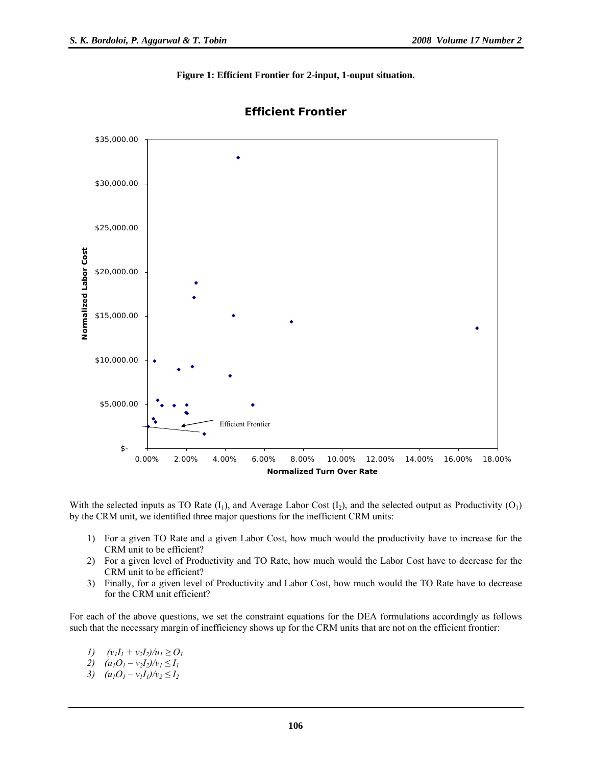**Figure 1: Efficient Frontier for 2-input, 1-ouput situation.** 



**Efficient Frontier**

With the selected inputs as TO Rate  $(I_1)$ , and Average Labor Cost  $(I_2)$ , and the selected output as Productivity  $(O_1)$ by the CRM unit, we identified three major questions for the inefficient CRM units:

- 1) For a given TO Rate and a given Labor Cost, how much would the productivity have to increase for the CRM unit to be efficient?
- 2) For a given level of Productivity and TO Rate, how much would the Labor Cost have to decrease for the CRM unit to be efficient?
- 3) Finally, for a given level of Productivity and Labor Cost, how much would the TO Rate have to decrease for the CRM unit efficient?

For each of the above questions, we set the constraint equations for the DEA formulations accordingly as follows such that the necessary margin of inefficiency shows up for the CRM units that are not on the efficient frontier:

- *1)*  $(v_1I_1 + v_2I_2)/u_1 \geq O_1$
- *2)*  $(u_1O_1 v_2I_2)/v_1 \leq I_1$
- *3)*  $(u_1O_1 v_1I_1)/v_2 \leq I_2$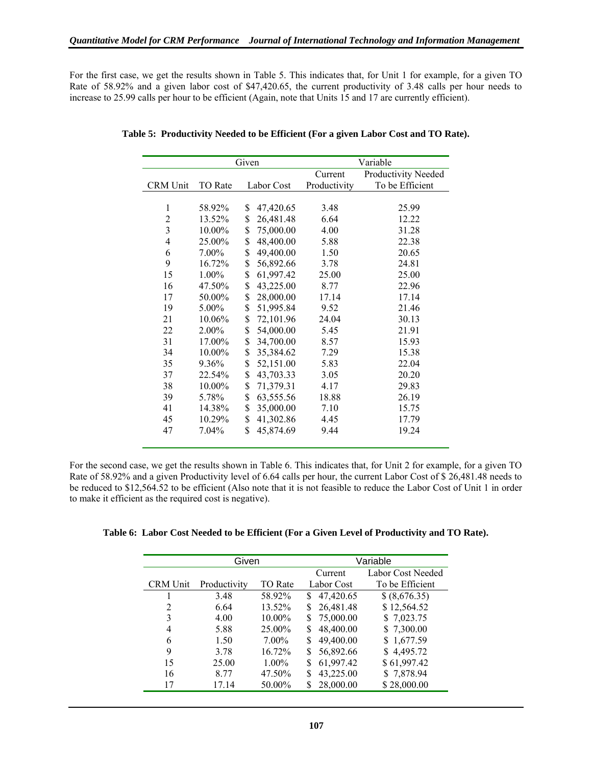For the first case, we get the results shown in Table 5. This indicates that, for Unit 1 for example, for a given TO Rate of 58.92% and a given labor cost of \$47,420.65, the current productivity of 3.48 calls per hour needs to increase to 25.99 calls per hour to be efficient (Again, note that Units 15 and 17 are currently efficient).

|                         | Given    |    |            | Variable     |                     |  |
|-------------------------|----------|----|------------|--------------|---------------------|--|
|                         |          |    |            | Current      | Productivity Needed |  |
| CRM Unit                | TO Rate  |    | Labor Cost | Productivity | To be Efficient     |  |
|                         |          |    |            |              |                     |  |
| $\mathbf{1}$            | 58.92%   | \$ | 47,420.65  | 3.48         | 25.99               |  |
| $\overline{c}$          | 13.52%   | \$ | 26,481.48  | 6.64         | 12.22               |  |
| $\overline{\mathbf{3}}$ | 10.00%   | \$ | 75,000.00  | 4.00         | 31.28               |  |
| $\overline{4}$          | 25.00%   | \$ | 48,400.00  | 5.88         | 22.38               |  |
| 6                       | 7.00%    | \$ | 49,400.00  | 1.50         | 20.65               |  |
| 9                       | 16.72%   | \$ | 56,892.66  | 3.78         | 24.81               |  |
| 15                      | 1.00%    | \$ | 61,997.42  | 25.00        | 25.00               |  |
| 16                      | 47.50%   | \$ | 43,225.00  | 8.77         | 22.96               |  |
| 17                      | 50.00%   | \$ | 28,000.00  | 17.14        | 17.14               |  |
| 19                      | $5.00\%$ | \$ | 51,995.84  | 9.52         | 21.46               |  |
| 21                      | 10.06%   | \$ | 72,101.96  | 24.04        | 30.13               |  |
| 22                      | 2.00%    | \$ | 54,000.00  | 5.45         | 21.91               |  |
| 31                      | 17.00%   | \$ | 34,700.00  | 8.57         | 15.93               |  |
| 34                      | 10.00%   | \$ | 35,384.62  | 7.29         | 15.38               |  |
| 35                      | 9.36%    | \$ | 52,151.00  | 5.83         | 22.04               |  |
| 37                      | 22.54%   | \$ | 43,703.33  | 3.05         | 20.20               |  |
| 38                      | 10.00%   | \$ | 71,379.31  | 4.17         | 29.83               |  |
| 39                      | 5.78%    | \$ | 63,555.56  | 18.88        | 26.19               |  |
| 41                      | 14.38%   | \$ | 35,000.00  | 7.10         | 15.75               |  |
| 45                      | 10.29%   | \$ | 41,302.86  | 4.45         | 17.79               |  |
| 47                      | 7.04%    | \$ | 45,874.69  | 9.44         | 19.24               |  |

**Table 5: Productivity Needed to be Efficient (For a given Labor Cost and TO Rate).** 

For the second case, we get the results shown in Table 6. This indicates that, for Unit 2 for example, for a given TO Rate of 58.92% and a given Productivity level of 6.64 calls per hour, the current Labor Cost of \$ 26,481.48 needs to be reduced to \$12,564.52 to be efficient (Also note that it is not feasible to reduce the Labor Cost of Unit 1 in order to make it efficient as the required cost is negative).

| Table 6: Labor Cost Needed to be Efficient (For a Given Level of Productivity and TO Rate). |
|---------------------------------------------------------------------------------------------|
|---------------------------------------------------------------------------------------------|

| Given           |              |                | Variable        |                   |  |
|-----------------|--------------|----------------|-----------------|-------------------|--|
|                 |              |                | Current         | Labor Cost Needed |  |
| <b>CRM</b> Unit | Productivity | <b>TO Rate</b> | Labor Cost      | To be Efficient   |  |
|                 | 3.48         | 58.92%         | 47,420.65<br>S  | \$(8,676.35)      |  |
| $\overline{2}$  | 6.64         | 13.52%         | 26,481.48       | \$12,564.52       |  |
| 3               | 4.00         | 10.00%         | 75,000.00<br>\$ | \$7,023.75        |  |
| 4               | 5.88         | $25.00\%$      | 48,400.00<br>S  | \$7,300.00        |  |
| 6               | 1.50         | 7.00%          | 49,400.00<br>S  | \$1,677.59        |  |
| 9               | 3.78         | $16.72\%$      | 56,892.66       | \$4,495.72        |  |
| 15              | 25.00        | 1.00%          | 61,997.42<br>S  | \$61,997.42       |  |
| 16              | 8 7 7        | 47.50%         | 43,225.00       | \$7,878.94        |  |
| 17              | 17.14        | 50.00%         | 28,000.00       | \$28,000.00       |  |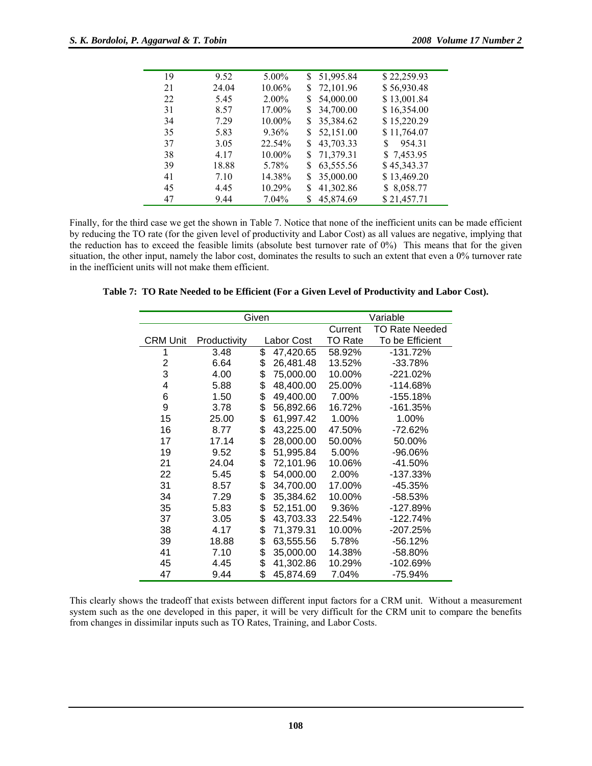| 19 | 9.52  | $5.00\%$  | \$51,995.84     | \$22,259.93  |
|----|-------|-----------|-----------------|--------------|
| 21 | 24.04 | 10.06%    | 72,101.96       | \$56,930.48  |
| 22 | 5.45  | $2.00\%$  | 54,000.00<br>S  | \$13,001.84  |
| 31 | 8.57  | 17.00%    | 34,700.00<br>S  | \$16,354.00  |
| 34 | 7 29  | 10.00%    | 35,384.62<br>S. | \$15,220.29  |
| 35 | 5.83  | 9.36%     | 52,151.00<br>S. | \$11,764.07  |
| 37 | 3.05  | 22.54%    | 43,703.33<br>S. | 954.31<br>S. |
| 38 | 4 1 7 | $10.00\%$ | 71,379.31<br>S  | \$7,453.95   |
| 39 | 18.88 | 5.78%     | 63,555.56<br>S. | \$45,343.37  |
| 41 | 7.10  | 14.38%    | 35,000.00<br>S  | \$13,469.20  |
| 45 | 4.45  | 10.29%    | 41,302.86<br>S  | \$8,058.77   |
| 47 | 9.44  | 7.04%     | 45,874.69<br>S  | \$21,457.71  |

Finally, for the third case we get the shown in Table 7. Notice that none of the inefficient units can be made efficient by reducing the TO rate (for the given level of productivity and Labor Cost) as all values are negative, implying that the reduction has to exceed the feasible limits (absolute best turnover rate of 0%) This means that for the given situation, the other input, namely the labor cost, dominates the results to such an extent that even a 0% turnover rate in the inefficient units will not make them efficient.

|                 | Given        |    |            |                | Variable              |  |  |
|-----------------|--------------|----|------------|----------------|-----------------------|--|--|
|                 |              |    |            | Current        | <b>TO Rate Needed</b> |  |  |
| <b>CRM Unit</b> | Productivity |    | Labor Cost | <b>TO Rate</b> | To be Efficient       |  |  |
| 1               | 3.48         | \$ | 47,420.65  | 58.92%         | -131.72%              |  |  |
| $\overline{2}$  | 6.64         | \$ | 26,481.48  | 13.52%         | $-33.78%$             |  |  |
| 3               | 4.00         | \$ | 75,000.00  | 10.00%         | -221.02%              |  |  |
| 4               | 5.88         | \$ | 48,400.00  | 25.00%         | -114.68%              |  |  |
| 6               | 1.50         | \$ | 49,400.00  | 7.00%          | $-155.18%$            |  |  |
| 9               | 3.78         | \$ | 56,892.66  | 16.72%         | -161.35%              |  |  |
| 15              | 25.00        | \$ | 61,997.42  | 1.00%          | 1.00%                 |  |  |
| 16              | 8.77         | \$ | 43,225.00  | 47.50%         | $-72.62%$             |  |  |
| 17              | 17.14        | \$ | 28,000.00  | 50.00%         | 50.00%                |  |  |
| 19              | 9.52         | \$ | 51,995.84  | 5.00%          | $-96.06%$             |  |  |
| 21              | 24.04        | \$ | 72,101.96  | 10.06%         | $-41.50%$             |  |  |
| 22              | 5.45         | \$ | 54,000.00  | 2.00%          | -137.33%              |  |  |
| 31              | 8.57         | \$ | 34,700.00  | 17.00%         | -45.35%               |  |  |
| 34              | 7.29         | \$ | 35,384.62  | 10.00%         | $-58.53%$             |  |  |
| 35              | 5.83         | \$ | 52,151.00  | 9.36%          | -127.89%              |  |  |
| 37              | 3.05         | \$ | 43,703.33  | 22.54%         | $-122.74%$            |  |  |
| 38              | 4.17         | \$ | 71,379.31  | 10.00%         | $-207.25%$            |  |  |
| 39              | 18.88        | \$ | 63,555.56  | 5.78%          | $-56.12%$             |  |  |
| 41              | 7.10         | \$ | 35,000.00  | 14.38%         | $-58.80%$             |  |  |
| 45              | 4.45         | \$ | 41,302.86  | 10.29%         | -102.69%              |  |  |
| 47              | 9.44         | \$ | 45,874.69  | 7.04%          | -75.94%               |  |  |

**Table 7: TO Rate Needed to be Efficient (For a Given Level of Productivity and Labor Cost).** 

This clearly shows the tradeoff that exists between different input factors for a CRM unit. Without a measurement system such as the one developed in this paper, it will be very difficult for the CRM unit to compare the benefits from changes in dissimilar inputs such as TO Rates, Training, and Labor Costs.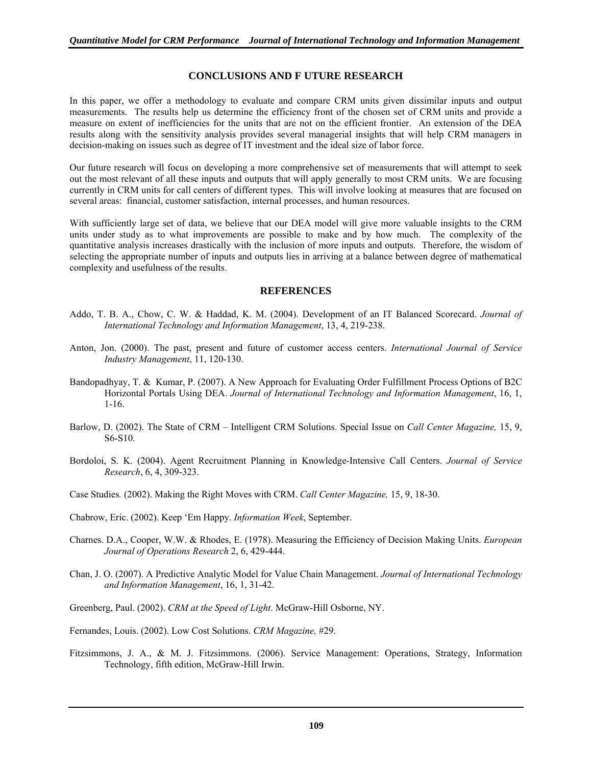### **CONCLUSIONS AND F UTURE RESEARCH**

In this paper, we offer a methodology to evaluate and compare CRM units given dissimilar inputs and output measurements. The results help us determine the efficiency front of the chosen set of CRM units and provide a measure on extent of inefficiencies for the units that are not on the efficient frontier. An extension of the DEA results along with the sensitivity analysis provides several managerial insights that will help CRM managers in decision-making on issues such as degree of IT investment and the ideal size of labor force.

Our future research will focus on developing a more comprehensive set of measurements that will attempt to seek out the most relevant of all these inputs and outputs that will apply generally to most CRM units. We are focusing currently in CRM units for call centers of different types. This will involve looking at measures that are focused on several areas: financial, customer satisfaction, internal processes, and human resources.

With sufficiently large set of data, we believe that our DEA model will give more valuable insights to the CRM units under study as to what improvements are possible to make and by how much. The complexity of the quantitative analysis increases drastically with the inclusion of more inputs and outputs. Therefore, the wisdom of selecting the appropriate number of inputs and outputs lies in arriving at a balance between degree of mathematical complexity and usefulness of the results.

### **REFERENCES**

- Addo, T. B. A., Chow, C. W. & Haddad, K. M. (2004). Development of an IT Balanced Scorecard. *Journal of International Technology and Information Management*, 13, 4, 219-238.
- Anton, Jon. (2000). The past, present and future of customer access centers. *International Journal of Service Industry Management*, 11, 120-130.
- Bandopadhyay, T. & Kumar, P. (2007). A New Approach for Evaluating Order Fulfillment Process Options of B2C Horizontal Portals Using DEA. *Journal of International Technology and Information Management*, 16, 1, 1-16.
- Barlow, D. (2002). The State of CRM Intelligent CRM Solutions. Special Issue on *Call Center Magazine,* 15, 9, S6-S10.
- Bordoloi, S. K. (2004). Agent Recruitment Planning in Knowledge-Intensive Call Centers. *Journal of Service Research*, 6, 4, 309-323.
- Case Studies*.* (2002). Making the Right Moves with CRM. *Call Center Magazine,* 15, 9, 18-30.
- Chabrow, Eric. (2002). Keep 'Em Happy. *Information Week*, September.
- Charnes. D.A., Cooper, W.W. & Rhodes, E. (1978). Measuring the Efficiency of Decision Making Units. *European Journal of Operations Research* 2, 6, 429-444.
- Chan, J. O. (2007). A Predictive Analytic Model for Value Chain Management. *Journal of International Technology and Information Management*, 16, 1, 31-42.
- Greenberg, Paul. (2002). *CRM at the Speed of Light*. McGraw-Hill Osborne, NY.
- Fernandes, Louis. (2002). Low Cost Solutions. *CRM Magazine,* #29.
- Fitzsimmons, J. A., & M. J. Fitzsimmons. (2006). Service Management: Operations, Strategy, Information Technology, fifth edition, McGraw-Hill Irwin.